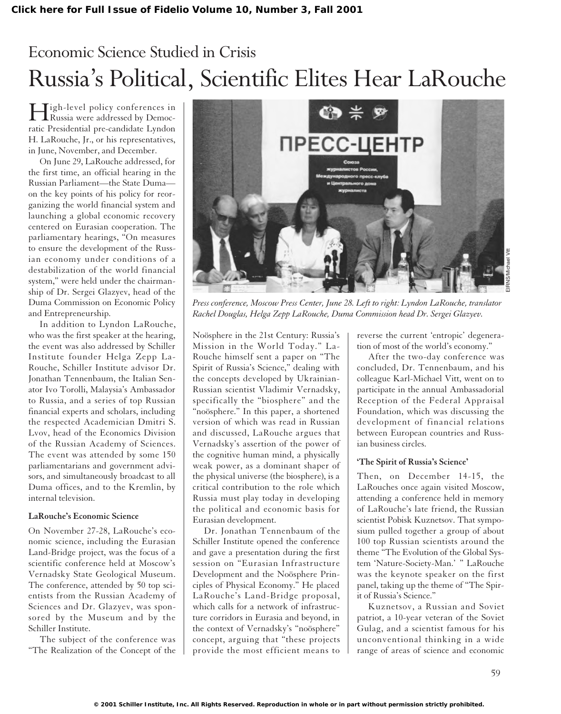# Economic Science Studied in Crisis Russia's Political, Scientific Elites Hear LaRouche

High-level policy conferences in Russia were addressed by Democratic Presidential pre-candidate Lyndon H. LaRouche, Jr., or his representatives, in June, November, and December.

On June 29, LaRouche addressed, for the first time, an official hearing in the Russian Parliament—the State Duma on the key points of his policy for reorganizing the world financial system and launching a global economic recovery centered on Eurasian cooperation. The parliamentary hearings, "On measures to ensure the development of the Russian economy under conditions of a destabilization of the world financial system," were held under the chairmanship of Dr. Sergei Glazyev, head of the Duma Commission on Economic Policy and Entrepreneurship.

In addition to Lyndon LaRouche, who was the first speaker at the hearing, the event was also addressed by Schiller Institute founder Helga Zepp La-Rouche, Schiller Institute advisor Dr. Jonathan Tennenbaum, the Italian Senator Ivo Torolli, Malaysia's Ambassador to Russia, and a series of top Russian financial experts and scholars, including the respected Academician Dmitri S. Lvov, head of the Economics Division of the Russian Academy of Sciences. The event was attended by some 150 parliamentarians and government advisors, and simultaneously broadcast to all Duma offices, and to the Kremlin, by internal television.

## **LaRouche's Economic Science**

On November 27-28, LaRouche's economic science, including the Eurasian Land-Bridge project, was the focus of a scientific conference held at Moscow's Vernadsky State Geological Museum. The conference, attended by 50 top scientists from the Russian Academy of Sciences and Dr. Glazyev, was sponsored by the Museum and by the Schiller Institute.

The subject of the conference was "The Realization of the Concept of the



*Press conference, Moscow Press Center, June 28. Left to right: Lyndon LaRouche, translator Rachel Douglas, Helga Zepp LaRouche, Duma Commission head Dr. Sergei Glazyev.*

Noösphere in the 21st Century: Russia's Mission in the World Today." La-Rouche himself sent a paper on "The Spirit of Russia's Science," dealing with the concepts developed by Ukrainian-Russian scientist Vladimir Vernadsky, specifically the "biosphere" and the "noösphere." In this paper, a shortened version of which was read in Russian and discussed, LaRouche argues that Vernadsky's assertion of the power of the cognitive human mind, a physically weak power, as a dominant shaper of the physical universe (the biosphere), is a critical contribution to the role which Russia must play today in developing the political and economic basis for Eurasian development.

Dr. Jonathan Tennenbaum of the Schiller Institute opened the conference and gave a presentation during the first session on "Eurasian Infrastructure Development and the Noösphere Principles of Physical Economy." He placed LaRouche's Land-Bridge proposal, which calls for a network of infrastructure corridors in Eurasia and beyond, in the context of Vernadsky's "noösphere" concept, arguing that "these projects provide the most efficient means to

reverse the current 'entropic' degeneration of most of the world's economy."

After the two-day conference was concluded, Dr. Tennenbaum, and his colleague Karl-Michael Vitt, went on to participate in the annual Ambassadorial Reception of the Federal Appraisal Foundation, which was discussing the development of financial relations between European countries and Russian business circles.

#### **'The Spirit of Russia's Science'**

Then, on December 14-15, the LaRouches once again visited Moscow, attending a conference held in memory of LaRouche's late friend, the Russian scientist Pobisk Kuznetsov. That symposium pulled together a group of about 100 top Russian scientists around the theme "The Evolution of the Global System 'Nature-Society-Man.' " LaRouche was the keynote speaker on the first panel, taking up the theme of "The Spirit of Russia's Science."

Kuznetsov, a Russian and Soviet patriot, a 10-year veteran of the Soviet Gulag, and a scientist famous for his unconventional thinking in a wide range of areas of science and economic